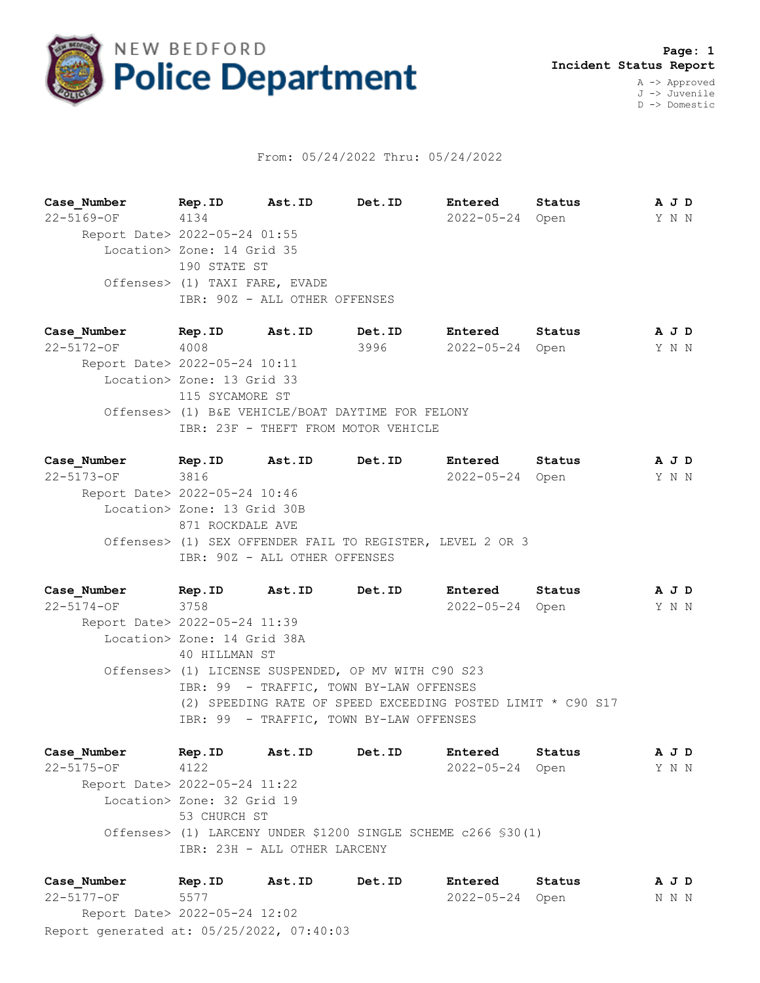

## From: 05/24/2022 Thru: 05/24/2022

**Case\_Number Rep.ID Ast.ID Det.ID Entered Status A J D** 22-5169-OF 4134 2022-05-24 Open Y N N Report Date> 2022-05-24 01:55 Location> Zone: 14 Grid 35 190 STATE ST Offenses> (1) TAXI FARE, EVADE IBR: 90Z - ALL OTHER OFFENSES

**Case\_Number Rep.ID Ast.ID Det.ID Entered Status A J D** 22-5172-OF 4008 3996 2022-05-24 Open Y N N Report Date> 2022-05-24 10:11 Location> Zone: 13 Grid 33 115 SYCAMORE ST Offenses> (1) B&E VEHICLE/BOAT DAYTIME FOR FELONY IBR: 23F - THEFT FROM MOTOR VEHICLE

**Case\_Number Rep.ID Ast.ID Det.ID Entered Status A J D** 22-5173-OF 3816 2022-05-24 Open Y N N Report Date> 2022-05-24 10:46 Location> Zone: 13 Grid 30B 871 ROCKDALE AVE Offenses> (1) SEX OFFENDER FAIL TO REGISTER, LEVEL 2 OR 3 IBR: 90Z - ALL OTHER OFFENSES

**Case\_Number Rep.ID Ast.ID Det.ID Entered Status A J D** 22-5174-OF 3758 2022-05-24 Open Y N N Report Date> 2022-05-24 11:39 Location> Zone: 14 Grid 38A 40 HILLMAN ST Offenses> (1) LICENSE SUSPENDED, OP MV WITH C90 S23 IBR: 99 - TRAFFIC, TOWN BY-LAW OFFENSES (2) SPEEDING RATE OF SPEED EXCEEDING POSTED LIMIT \* C90 S17 IBR: 99 - TRAFFIC, TOWN BY-LAW OFFENSES

**Case\_Number Rep.ID Ast.ID Det.ID Entered Status A J D** 22-5175-OF 4122 2022-05-24 Open Y N N Report Date> 2022-05-24 11:22 Location> Zone: 32 Grid 19 53 CHURCH ST Offenses> (1) LARCENY UNDER \$1200 SINGLE SCHEME c266 §30(1) IBR: 23H - ALL OTHER LARCENY

Report generated at: 05/25/2022, 07:40:03 **Case\_Number Rep.ID Ast.ID Det.ID Entered Status A J D** 22-5177-OF 5577 2022-05-24 Open N N N Report Date> 2022-05-24 12:02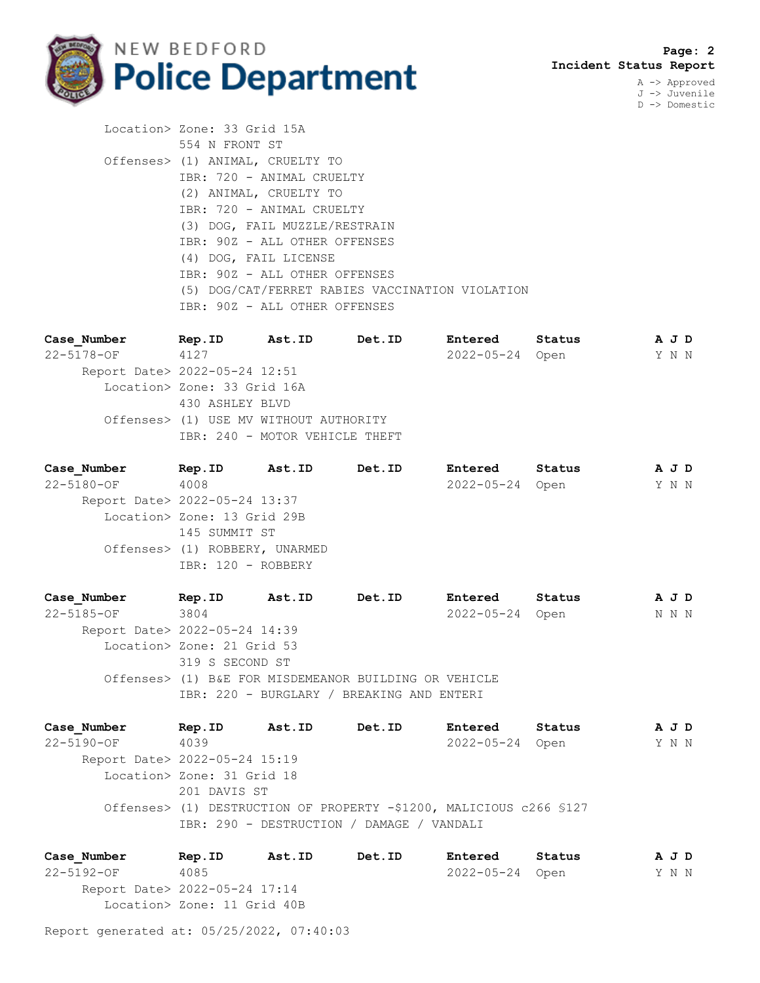

A -> Approved J -> Juvenile D -> Domestic

 Location> Zone: 33 Grid 15A 554 N FRONT ST Offenses> (1) ANIMAL, CRUELTY TO IBR: 720 - ANIMAL CRUELTY (2) ANIMAL, CRUELTY TO IBR: 720 - ANIMAL CRUELTY (3) DOG, FAIL MUZZLE/RESTRAIN IBR: 90Z - ALL OTHER OFFENSES (4) DOG, FAIL LICENSE IBR: 90Z - ALL OTHER OFFENSES (5) DOG/CAT/FERRET RABIES VACCINATION VIOLATION IBR: 90Z - ALL OTHER OFFENSES

**Case\_Number Rep.ID Ast.ID Det.ID Entered Status A J D** 22-5178-OF 4127 2022-05-24 Open Y N N Report Date> 2022-05-24 12:51 Location> Zone: 33 Grid 16A 430 ASHLEY BLVD Offenses> (1) USE MV WITHOUT AUTHORITY IBR: 240 - MOTOR VEHICLE THEFT

**Case\_Number Rep.ID Ast.ID Det.ID Entered Status A J D** 22-5180-OF 4008 2022-05-24 Open Y N N Report Date> 2022-05-24 13:37 Location> Zone: 13 Grid 29B 145 SUMMIT ST Offenses> (1) ROBBERY, UNARMED IBR: 120 - ROBBERY

**Case\_Number Rep.ID Ast.ID Det.ID Entered Status A J D** 22-5185-OF 3804 2022-05-24 Open N N N Report Date> 2022-05-24 14:39 Location> Zone: 21 Grid 53 319 S SECOND ST Offenses> (1) B&E FOR MISDEMEANOR BUILDING OR VEHICLE IBR: 220 - BURGLARY / BREAKING AND ENTERI

**Case\_Number Rep.ID Ast.ID Det.ID Entered Status A J D** 22-5190-OF 4039 2022-05-24 Open Y N N Report Date> 2022-05-24 15:19 Location> Zone: 31 Grid 18 201 DAVIS ST Offenses> (1) DESTRUCTION OF PROPERTY -\$1200, MALICIOUS c266 §127 IBR: 290 - DESTRUCTION / DAMAGE / VANDALI

**Case\_Number Rep.ID Ast.ID Det.ID Entered Status A J D** 22-5192-OF 4085 2022-05-24 Open Y N N Report Date> 2022-05-24 17:14 Location> Zone: 11 Grid 40B

Report generated at: 05/25/2022, 07:40:03